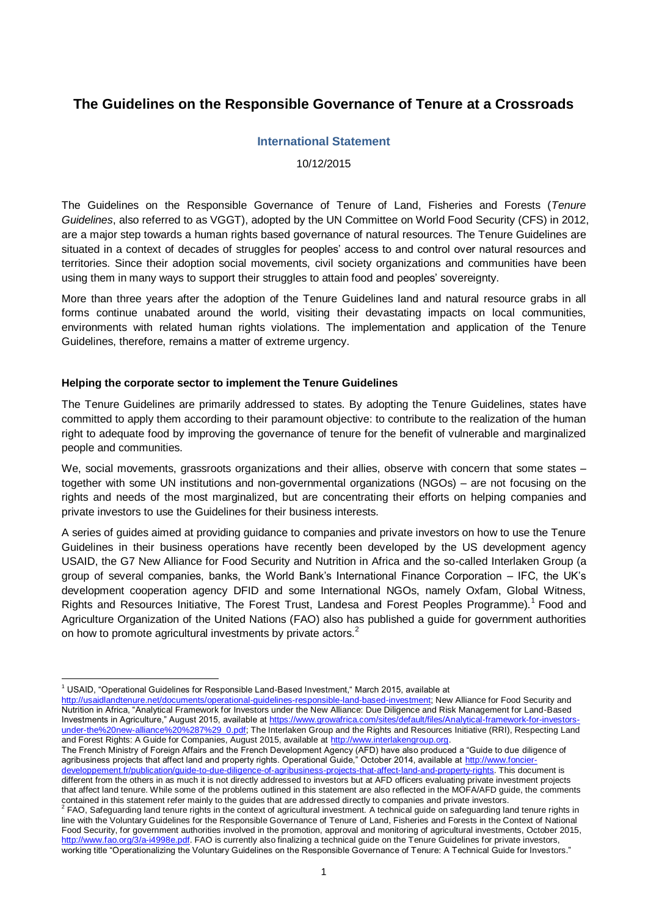# **The Guidelines on the Responsible Governance of Tenure at a Crossroads**

### **International Statement**

10/12/2015

The Guidelines on the Responsible Governance of Tenure of Land, Fisheries and Forests (*Tenure Guidelines*, also referred to as VGGT), adopted by the UN Committee on World Food Security (CFS) in 2012, are a major step towards a human rights based governance of natural resources. The Tenure Guidelines are situated in a context of decades of struggles for peoples' access to and control over natural resources and territories. Since their adoption social movements, civil society organizations and communities have been using them in many ways to support their struggles to attain food and peoples' sovereignty.

More than three years after the adoption of the Tenure Guidelines land and natural resource grabs in all forms continue unabated around the world, visiting their devastating impacts on local communities, environments with related human rights violations. The implementation and application of the Tenure Guidelines, therefore, remains a matter of extreme urgency.

#### **Helping the corporate sector to implement the Tenure Guidelines**

The Tenure Guidelines are primarily addressed to states. By adopting the Tenure Guidelines, states have committed to apply them according to their paramount objective: to contribute to the realization of the human right to adequate food by improving the governance of tenure for the benefit of vulnerable and marginalized people and communities.

We, social movements, grassroots organizations and their allies, observe with concern that some states – together with some UN institutions and non-governmental organizations (NGOs) – are not focusing on the rights and needs of the most marginalized, but are concentrating their efforts on helping companies and private investors to use the Guidelines for their business interests.

A series of guides aimed at providing guidance to companies and private investors on how to use the Tenure Guidelines in their business operations have recently been developed by the US development agency USAID, the G7 New Alliance for Food Security and Nutrition in Africa and the so-called Interlaken Group (a group of several companies, banks, the World Bank's International Finance Corporation – IFC, the UK's development cooperation agency DFID and some International NGOs, namely Oxfam, Global Witness, Rights and Resources Initiative, The Forest Trust, Landesa and Forest Peoples Programme).<sup>1</sup> Food and Agriculture Organization of the United Nations (FAO) also has published a guide for government authorities on how to promote agricultural investments by private actors.<sup>2</sup>

1

The French Ministry of Foreign Affairs and the French Development Agency (AFD) have also produced a "Guide to due diligence of agribusiness projects that affect land and property rights. Operational Guide," October 2014, available at [http://www.foncier](http://www.foncier-developpement.fr/publication/guide-to-due-diligence-of-agribusiness-projects-that-affect-land-and-property-rights)[developpement.fr/publication/guide-to-due-diligence-of-agribusiness-projects-that-affect-land-and-property-rights.](http://www.foncier-developpement.fr/publication/guide-to-due-diligence-of-agribusiness-projects-that-affect-land-and-property-rights) This document is different from the others in as much it is not directly addressed to investors but at AFD officers evaluating private investment projects

<sup>&</sup>lt;sup>1</sup> USAID, "Operational Guidelines for Responsible Land-Based Investment," March 2015, available at

[http://usaidlandtenure.net/documents/operational-guidelines-responsible-land-based-investment;](http://usaidlandtenure.net/documents/operational-guidelines-responsible-land-based-investment) New Alliance for Food Security and Nutrition in Africa, "Analytical Framework for Investors under the New Alliance: Due Diligence and Risk Management for Land-Based Investments in Agriculture," August 2015, available at https://www.growafrica.com/sites/default/files/Analytical-framework-for-investors [under-the%20new-alliance%20%287%29\\_0.pdf;](https://www.growafrica.com/sites/default/files/Analytical-framework-for-investors-under-the%20new-alliance%20%287%29_0.pdf) The Interlaken Group and the Rights and Resources Initiative (RRI), Respecting Land and Forest Rights: A Guide for Companies, August 2015, available at [http://www.interlakengroup.org.](http://www.interlakengroup.org/) 

that affect land tenure. While some of the problems outlined in this statement are also reflected in the MOFA/AFD guide, the comments contained in this statement refer mainly to the guides that are addressed directly to companies and private investors.<br><sup>2</sup> FAO, Sefecuardias land tenure rights in the centeut of estimulumal investment. A technical quide an FAO, Safeguarding land tenure rights in the context of agricultural investment. A technical guide on safeguarding land tenure rights in

line with the Voluntary Guidelines for the Responsible Governance of Tenure of Land, Fisheries and Forests in the Context of National Food Security, for government authorities involved in the promotion, approval and monitoring of agricultural investments, October 2015, [http://www.fao.org/3/a-i4998e.pdf.](http://www.fao.org/3/a-i4998e.pdf) FAO is currently also finalizing a technical guide on the Tenure Guidelines for private investors, working title "Operationalizing the Voluntary Guidelines on the Responsible Governance of Tenure: A Technical Guide for Investors."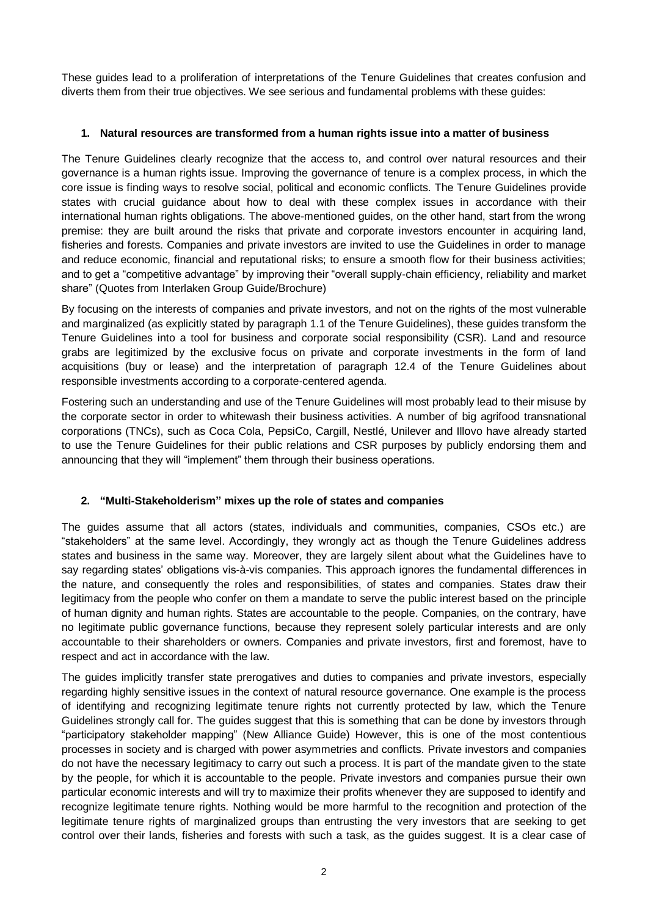These guides lead to a proliferation of interpretations of the Tenure Guidelines that creates confusion and diverts them from their true objectives. We see serious and fundamental problems with these guides:

## **1. Natural resources are transformed from a human rights issue into a matter of business**

The Tenure Guidelines clearly recognize that the access to, and control over natural resources and their governance is a human rights issue. Improving the governance of tenure is a complex process, in which the core issue is finding ways to resolve social, political and economic conflicts. The Tenure Guidelines provide states with crucial guidance about how to deal with these complex issues in accordance with their international human rights obligations. The above-mentioned guides, on the other hand, start from the wrong premise: they are built around the risks that private and corporate investors encounter in acquiring land, fisheries and forests. Companies and private investors are invited to use the Guidelines in order to manage and reduce economic, financial and reputational risks; to ensure a smooth flow for their business activities; and to get a "competitive advantage" by improving their "overall supply-chain efficiency, reliability and market share" (Quotes from Interlaken Group Guide/Brochure)

By focusing on the interests of companies and private investors, and not on the rights of the most vulnerable and marginalized (as explicitly stated by paragraph 1.1 of the Tenure Guidelines), these guides transform the Tenure Guidelines into a tool for business and corporate social responsibility (CSR). Land and resource grabs are legitimized by the exclusive focus on private and corporate investments in the form of land acquisitions (buy or lease) and the interpretation of paragraph 12.4 of the Tenure Guidelines about responsible investments according to a corporate-centered agenda.

Fostering such an understanding and use of the Tenure Guidelines will most probably lead to their misuse by the corporate sector in order to whitewash their business activities. A number of big agrifood transnational corporations (TNCs), such as Coca Cola, PepsiCo, Cargill, Nestlé, Unilever and Illovo have already started to use the Tenure Guidelines for their public relations and CSR purposes by publicly endorsing them and announcing that they will "implement" them through their business operations.

# **2. "Multi-Stakeholderism" mixes up the role of states and companies**

The guides assume that all actors (states, individuals and communities, companies, CSOs etc.) are "stakeholders" at the same level. Accordingly, they wrongly act as though the Tenure Guidelines address states and business in the same way. Moreover, they are largely silent about what the Guidelines have to say regarding states' obligations vis-à-vis companies. This approach ignores the fundamental differences in the nature, and consequently the roles and responsibilities, of states and companies. States draw their legitimacy from the people who confer on them a mandate to serve the public interest based on the principle of human dignity and human rights. States are accountable to the people. Companies, on the contrary, have no legitimate public governance functions, because they represent solely particular interests and are only accountable to their shareholders or owners. Companies and private investors, first and foremost, have to respect and act in accordance with the law.

The guides implicitly transfer state prerogatives and duties to companies and private investors, especially regarding highly sensitive issues in the context of natural resource governance. One example is the process of identifying and recognizing legitimate tenure rights not currently protected by law, which the Tenure Guidelines strongly call for. The guides suggest that this is something that can be done by investors through "participatory stakeholder mapping" (New Alliance Guide) However, this is one of the most contentious processes in society and is charged with power asymmetries and conflicts. Private investors and companies do not have the necessary legitimacy to carry out such a process. It is part of the mandate given to the state by the people, for which it is accountable to the people. Private investors and companies pursue their own particular economic interests and will try to maximize their profits whenever they are supposed to identify and recognize legitimate tenure rights. Nothing would be more harmful to the recognition and protection of the legitimate tenure rights of marginalized groups than entrusting the very investors that are seeking to get control over their lands, fisheries and forests with such a task, as the guides suggest. It is a clear case of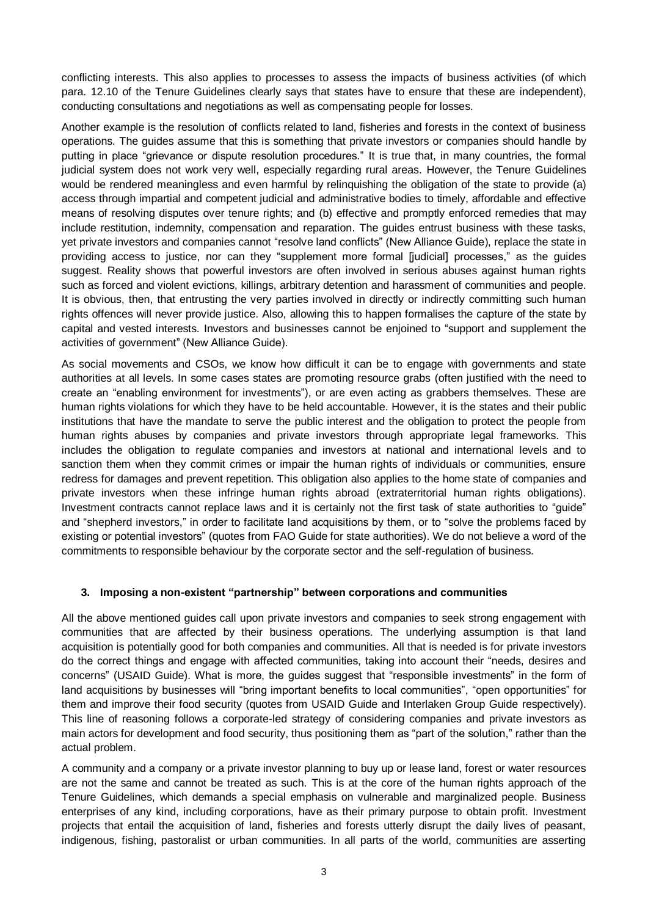conflicting interests. This also applies to processes to assess the impacts of business activities (of which para. 12.10 of the Tenure Guidelines clearly says that states have to ensure that these are independent), conducting consultations and negotiations as well as compensating people for losses.

Another example is the resolution of conflicts related to land, fisheries and forests in the context of business operations. The guides assume that this is something that private investors or companies should handle by putting in place "grievance or dispute resolution procedures." It is true that, in many countries, the formal judicial system does not work very well, especially regarding rural areas. However, the Tenure Guidelines would be rendered meaningless and even harmful by relinquishing the obligation of the state to provide (a) access through impartial and competent judicial and administrative bodies to timely, affordable and effective means of resolving disputes over tenure rights; and (b) effective and promptly enforced remedies that may include restitution, indemnity, compensation and reparation. The guides entrust business with these tasks, yet private investors and companies cannot "resolve land conflicts" (New Alliance Guide), replace the state in providing access to justice, nor can they "supplement more formal [judicial] processes," as the guides suggest. Reality shows that powerful investors are often involved in serious abuses against human rights such as forced and violent evictions, killings, arbitrary detention and harassment of communities and people. It is obvious, then, that entrusting the very parties involved in directly or indirectly committing such human rights offences will never provide justice. Also, allowing this to happen formalises the capture of the state by capital and vested interests. Investors and businesses cannot be enjoined to "support and supplement the activities of government" (New Alliance Guide).

As social movements and CSOs, we know how difficult it can be to engage with governments and state authorities at all levels. In some cases states are promoting resource grabs (often justified with the need to create an "enabling environment for investments"), or are even acting as grabbers themselves. These are human rights violations for which they have to be held accountable. However, it is the states and their public institutions that have the mandate to serve the public interest and the obligation to protect the people from human rights abuses by companies and private investors through appropriate legal frameworks. This includes the obligation to regulate companies and investors at national and international levels and to sanction them when they commit crimes or impair the human rights of individuals or communities, ensure redress for damages and prevent repetition. This obligation also applies to the home state of companies and private investors when these infringe human rights abroad (extraterritorial human rights obligations). Investment contracts cannot replace laws and it is certainly not the first task of state authorities to "guide" and "shepherd investors," in order to facilitate land acquisitions by them, or to "solve the problems faced by existing or potential investors" (quotes from FAO Guide for state authorities). We do not believe a word of the commitments to responsible behaviour by the corporate sector and the self-regulation of business.

### **3. Imposing a non-existent "partnership" between corporations and communities**

All the above mentioned guides call upon private investors and companies to seek strong engagement with communities that are affected by their business operations. The underlying assumption is that land acquisition is potentially good for both companies and communities. All that is needed is for private investors do the correct things and engage with affected communities, taking into account their "needs, desires and concerns" (USAID Guide). What is more, the guides suggest that "responsible investments" in the form of land acquisitions by businesses will "bring important benefits to local communities", "open opportunities" for them and improve their food security (quotes from USAID Guide and Interlaken Group Guide respectively). This line of reasoning follows a corporate-led strategy of considering companies and private investors as main actors for development and food security, thus positioning them as "part of the solution," rather than the actual problem.

A community and a company or a private investor planning to buy up or lease land, forest or water resources are not the same and cannot be treated as such. This is at the core of the human rights approach of the Tenure Guidelines, which demands a special emphasis on vulnerable and marginalized people. Business enterprises of any kind, including corporations, have as their primary purpose to obtain profit. Investment projects that entail the acquisition of land, fisheries and forests utterly disrupt the daily lives of peasant, indigenous, fishing, pastoralist or urban communities. In all parts of the world, communities are asserting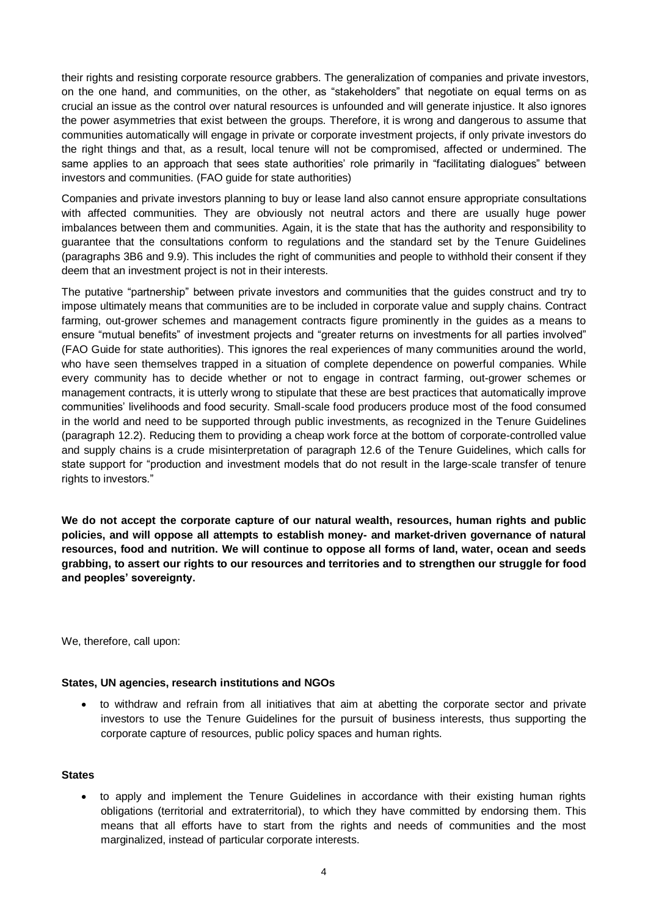their rights and resisting corporate resource grabbers. The generalization of companies and private investors, on the one hand, and communities, on the other, as "stakeholders" that negotiate on equal terms on as crucial an issue as the control over natural resources is unfounded and will generate injustice. It also ignores the power asymmetries that exist between the groups. Therefore, it is wrong and dangerous to assume that communities automatically will engage in private or corporate investment projects, if only private investors do the right things and that, as a result, local tenure will not be compromised, affected or undermined. The same applies to an approach that sees state authorities' role primarily in "facilitating dialogues" between investors and communities. (FAO guide for state authorities)

Companies and private investors planning to buy or lease land also cannot ensure appropriate consultations with affected communities. They are obviously not neutral actors and there are usually huge power imbalances between them and communities. Again, it is the state that has the authority and responsibility to guarantee that the consultations conform to regulations and the standard set by the Tenure Guidelines (paragraphs 3B6 and 9.9). This includes the right of communities and people to withhold their consent if they deem that an investment project is not in their interests.

The putative "partnership" between private investors and communities that the guides construct and try to impose ultimately means that communities are to be included in corporate value and supply chains. Contract farming, out-grower schemes and management contracts figure prominently in the guides as a means to ensure "mutual benefits" of investment projects and "greater returns on investments for all parties involved" (FAO Guide for state authorities). This ignores the real experiences of many communities around the world, who have seen themselves trapped in a situation of complete dependence on powerful companies. While every community has to decide whether or not to engage in contract farming, out-grower schemes or management contracts, it is utterly wrong to stipulate that these are best practices that automatically improve communities' livelihoods and food security. Small-scale food producers produce most of the food consumed in the world and need to be supported through public investments, as recognized in the Tenure Guidelines (paragraph 12.2). Reducing them to providing a cheap work force at the bottom of corporate-controlled value and supply chains is a crude misinterpretation of paragraph 12.6 of the Tenure Guidelines, which calls for state support for "production and investment models that do not result in the large-scale transfer of tenure rights to investors."

**We do not accept the corporate capture of our natural wealth, resources, human rights and public policies, and will oppose all attempts to establish money- and market-driven governance of natural resources, food and nutrition. We will continue to oppose all forms of land, water, ocean and seeds grabbing, to assert our rights to our resources and territories and to strengthen our struggle for food and peoples' sovereignty.** 

We, therefore, call upon:

### **States, UN agencies, research institutions and NGOs**

 to withdraw and refrain from all initiatives that aim at abetting the corporate sector and private investors to use the Tenure Guidelines for the pursuit of business interests, thus supporting the corporate capture of resources, public policy spaces and human rights.

### **States**

 to apply and implement the Tenure Guidelines in accordance with their existing human rights obligations (territorial and extraterritorial), to which they have committed by endorsing them. This means that all efforts have to start from the rights and needs of communities and the most marginalized, instead of particular corporate interests.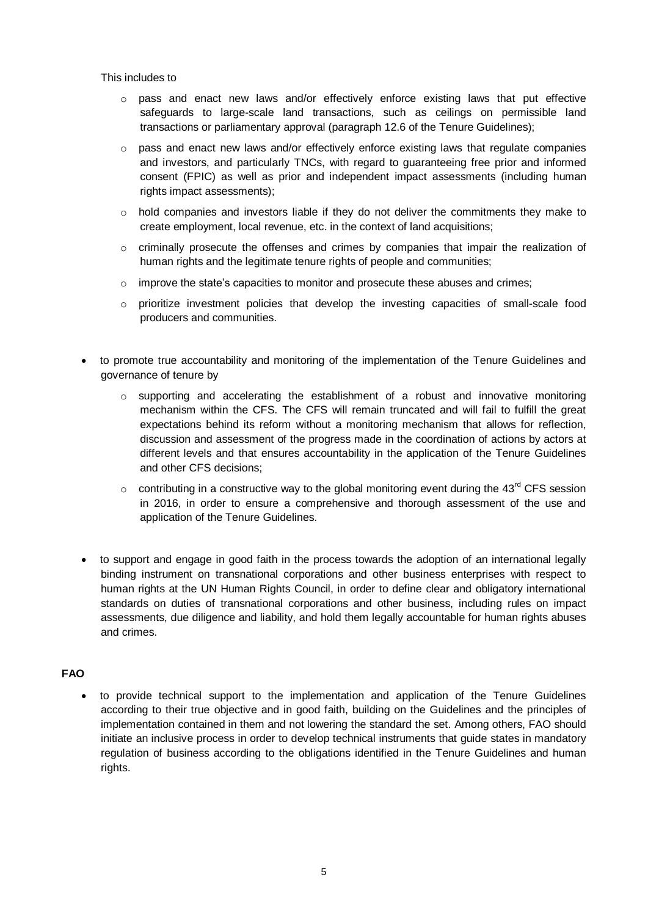#### This includes to

- $\circ$  pass and enact new laws and/or effectively enforce existing laws that put effective safeguards to large-scale land transactions, such as ceilings on permissible land transactions or parliamentary approval (paragraph 12.6 of the Tenure Guidelines);
- $\circ$  pass and enact new laws and/or effectively enforce existing laws that regulate companies and investors, and particularly TNCs, with regard to guaranteeing free prior and informed consent (FPIC) as well as prior and independent impact assessments (including human rights impact assessments);
- $\circ$  hold companies and investors liable if they do not deliver the commitments they make to create employment, local revenue, etc. in the context of land acquisitions;
- $\circ$  criminally prosecute the offenses and crimes by companies that impair the realization of human rights and the legitimate tenure rights of people and communities;
- $\circ$  improve the state's capacities to monitor and prosecute these abuses and crimes:
- o prioritize investment policies that develop the investing capacities of small-scale food producers and communities.
- to promote true accountability and monitoring of the implementation of the Tenure Guidelines and governance of tenure by
	- o supporting and accelerating the establishment of a robust and innovative monitoring mechanism within the CFS. The CFS will remain truncated and will fail to fulfill the great expectations behind its reform without a monitoring mechanism that allows for reflection, discussion and assessment of the progress made in the coordination of actions by actors at different levels and that ensures accountability in the application of the Tenure Guidelines and other CFS decisions;
	- $\circ$  contributing in a constructive way to the global monitoring event during the 43<sup>rd</sup> CFS session in 2016, in order to ensure a comprehensive and thorough assessment of the use and application of the Tenure Guidelines.
- to support and engage in good faith in the process towards the adoption of an international legally binding instrument on transnational corporations and other business enterprises with respect to human rights at the UN Human Rights Council, in order to define clear and obligatory international standards on duties of transnational corporations and other business, including rules on impact assessments, due diligence and liability, and hold them legally accountable for human rights abuses and crimes.

## **FAO**

 to provide technical support to the implementation and application of the Tenure Guidelines according to their true objective and in good faith, building on the Guidelines and the principles of implementation contained in them and not lowering the standard the set. Among others, FAO should initiate an inclusive process in order to develop technical instruments that guide states in mandatory regulation of business according to the obligations identified in the Tenure Guidelines and human rights.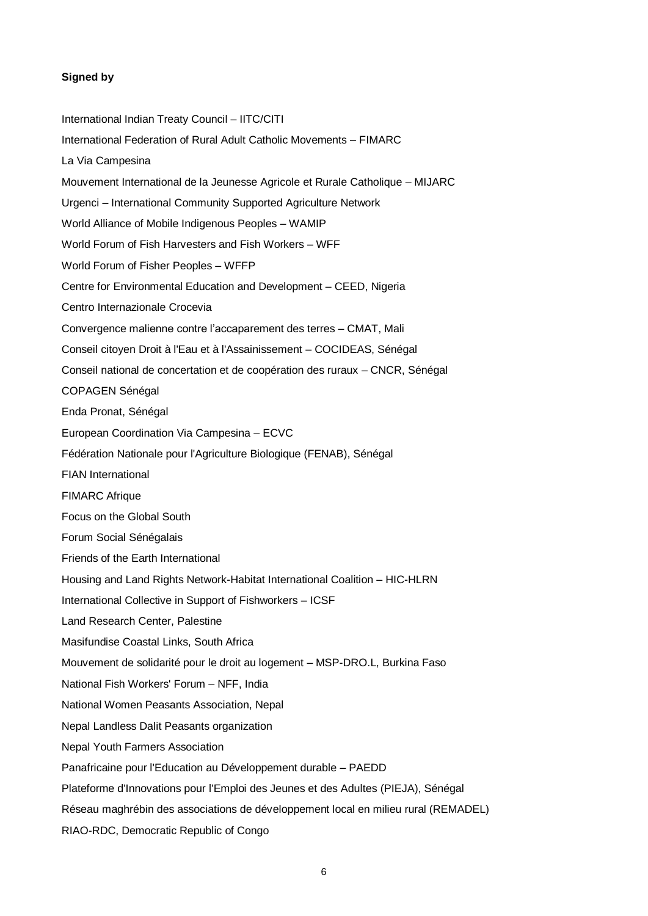## **Signed by**

International Indian Treaty Council – IITC/CITI International Federation of Rural Adult Catholic Movements – FIMARC La Via Campesina Mouvement International de la Jeunesse Agricole et Rurale Catholique – MIJARC Urgenci – International Community Supported Agriculture Network World Alliance of Mobile Indigenous Peoples – WAMIP World Forum of Fish Harvesters and Fish Workers – WFF World Forum of Fisher Peoples – WFFP Centre for Environmental Education and Development – CEED, Nigeria Centro Internazionale Crocevia Convergence malienne contre l'accaparement des terres – CMAT, Mali Conseil citoyen Droit à l'Eau et à l'Assainissement – COCIDEAS, Sénégal Conseil national de concertation et de coopération des ruraux – CNCR, Sénégal COPAGEN Sénégal Enda Pronat, Sénégal European Coordination Via Campesina – ECVC Fédération Nationale pour l'Agriculture Biologique (FENAB), Sénégal FIAN International FIMARC Afrique Focus on the Global South Forum Social Sénégalais Friends of the Earth International Housing and Land Rights Network-Habitat International Coalition – HIC-HLRN International Collective in Support of Fishworkers – ICSF Land Research Center, Palestine Masifundise Coastal Links, South Africa Mouvement de solidarité pour le droit au logement – MSP-DRO.L, Burkina Faso National Fish Workers' Forum – NFF, India National Women Peasants Association, Nepal Nepal Landless Dalit Peasants organization Nepal Youth Farmers Association Panafricaine pour l'Education au Développement durable – PAEDD Plateforme d'Innovations pour l'Emploi des Jeunes et des Adultes (PIEJA), Sénégal Réseau maghrébin des associations de développement local en milieu rural (REMADEL) RIAO-RDC, Democratic Republic of Congo